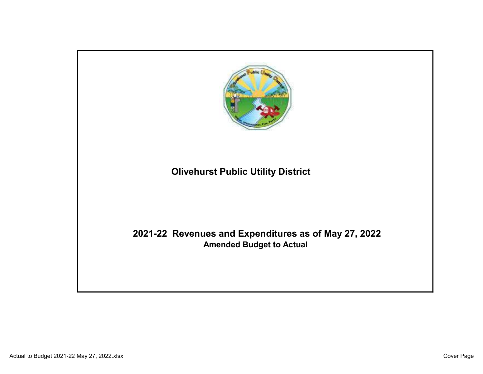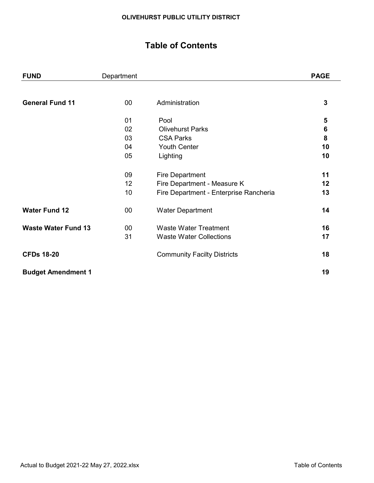# Table of Contents

| <b>FUND</b>                | Department |                                        | <b>PAGE</b> |
|----------------------------|------------|----------------------------------------|-------------|
|                            |            |                                        |             |
| <b>General Fund 11</b>     | $00\,$     | Administration                         | 3           |
|                            | 01         | Pool                                   | 5           |
|                            | 02         | <b>Olivehurst Parks</b>                | 6           |
|                            | 03         | <b>CSA Parks</b>                       | 8           |
|                            | 04         | <b>Youth Center</b>                    | 10          |
|                            | 05         | Lighting                               | 10          |
|                            | 09         | <b>Fire Department</b>                 | 11          |
|                            | 12         | Fire Department - Measure K            | 12          |
|                            | 10         | Fire Department - Enterprise Rancheria | 13          |
| <b>Water Fund 12</b>       | $00\,$     | <b>Water Department</b>                | 14          |
| <b>Waste Water Fund 13</b> | 00         | <b>Waste Water Treatment</b>           | 16          |
|                            | 31         | <b>Waste Water Collections</b>         | 17          |
| <b>CFDs 18-20</b>          |            | <b>Community Facilty Districts</b>     | 18          |
| <b>Budget Amendment 1</b>  |            |                                        | 19          |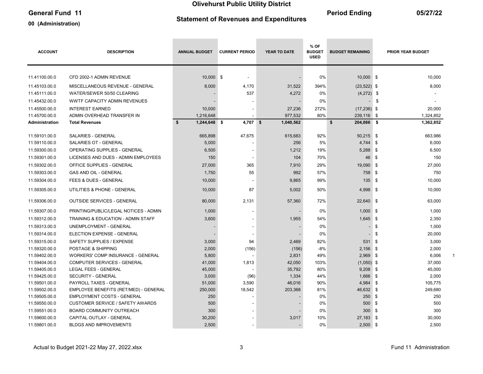# General Fund 11 05/27/22

### 00 (Administration)

# Statement of Revenues and Expenditures

| <b>ACCOUNT</b> | <b>DESCRIPTION</b>                      | <b>ANNUAL BUDGET</b>         | <b>CURRENT PERIOD</b> | YEAR TO DATE | % OF<br><b>BUDGET</b><br><b>USED</b> | <b>BUDGET REMAINING</b> |           | PRIOR YEAR BUDGET |
|----------------|-----------------------------------------|------------------------------|-----------------------|--------------|--------------------------------------|-------------------------|-----------|-------------------|
| 11.41100.00.0  | CFD 2002-1 ADMIN REVENUE                | 10,000 \$                    |                       |              | 0%                                   | $10,000$ \$             |           | 10,000            |
|                |                                         |                              |                       |              |                                      |                         |           |                   |
| 11.45103.00.0  | MISCELLANEOUS REVENUE - GENERAL         | 8,000                        | 4,170                 | 31,522       | 394%                                 | $(23, 522)$ \$          |           | 8,000             |
| 11.45111.00.0  | WATER/SEWER 50/50 CLEARING              |                              | 537                   | 4,272        | 0%                                   | $(4,272)$ \$            |           |                   |
| 11.45432.00.0  | <b>WWTF CAPACITY ADMIN REVENUES</b>     |                              |                       |              | 0%                                   |                         | \$        |                   |
| 11.45500.00.0  | <b>INTEREST EARNED</b>                  | 10,000                       |                       | 27,236       | 272%                                 | $(17,236)$ \$           |           | 20,000            |
| 11.45700.00.0  | ADMIN OVERHEAD TRANSFER IN              | 1,216,648                    |                       | 977,532      | 80%                                  | 239,116 \$              |           | 1,324,852         |
| Administration | <b>Total Revenues</b>                   | $\mathbf{s}$<br>1,244,648 \$ | 4,707 \$              | 1,040,562    |                                      | \$<br>204,086 \$        |           | 1,362,852         |
| 11.59101.00.0  | <b>SALARIES - GENERAL</b>               | 665,898                      | 47,675                | 615,683      | 92%                                  | 50,215 \$               |           | 663,986           |
| 11.59110.00.0  | <b>SALARIES OT - GENERAL</b>            | 5,000                        |                       | 256          | 5%                                   | 4,744                   | <b>\$</b> | 6,000             |
| 11.59300.00.0  | OPERATING SUPPLIES - GENERAL            | 6,500                        |                       | 1,212        | 19%                                  | $5,288$ \$              |           | 6,500             |
| 11.59301.00.0  | LICENSES AND DUES - ADMIN EMPLOYEES     | 150                          |                       | 104          | 70%                                  | 46 \$                   |           | 150               |
| 11.59302.00.0  | OFFICE SUPPLIES - GENERAL               | 27,000                       | 365                   | 7,910        | 29%                                  | 19,090 \$               |           | 27,000            |
| 11.59303.00.0  | GAS AND OIL - GENERAL                   | 1,750                        | 55                    | 992          | 57%                                  | $758$ \$                |           | 750               |
| 11.59304.00.0  | <b>FEES &amp; DUES - GENERAL</b>        | 10,000                       |                       | 9.865        | 99%                                  | $135$ \$                |           | 10,000            |
| 11.59305.00.0  | UTILITIES & PHONE - GENERAL             | 10,000                       | 87                    | 5,002        | 50%                                  | $4,998$ \$              |           | 10,000            |
| 11.59306.00.0  | <b>OUTSIDE SERVICES - GENERAL</b>       | 80,000                       | 2,131                 | 57,360       | 72%                                  | 22,640 \$               |           | 63,000            |
| 11.59307.00.0  | PRINTING/PUBLIC/LEGAL NOTICES - ADMIN   | 1,000                        | $\blacksquare$        |              | 0%                                   | $1,000$ \$              |           | 1,000             |
| 11.59312.00.0  | TRAINING & EDUCATION - ADMIN STAFF      | 3,600                        |                       | 1,955        | 54%                                  | $1,645$ \$              |           | 2,350             |
| 11.59313.00.0  | UNEMPLOYMENT - GENERAL                  |                              |                       |              | 0%                                   |                         | \$        | 1,000             |
| 11.59314.00.0  | ELECTION EXPENSE - GENERAL              |                              |                       |              | 0%                                   |                         | \$        | 20,000            |
| 11.59315.00.0  | SAFETY SUPPLIES / EXPENSE               | 3,000                        | 94                    | 2,469        | 82%                                  | 531                     | \$        | 3,000             |
| 11.59320.00.0  | POSTAGE & SHIPPING                      | 2,000                        | (156)                 | (156)        | $-8%$                                | $2,156$ \$              |           | 2,000             |
| 11.59402.00.0  | WORKERS' COMP INSURANCE - GENERAL       | 5,800                        |                       | 2,831        | 49%                                  | 2,969                   | l \$      | 6,006             |
| 11.59404.00.0  | COMPUTER SERVICES - GENERAL             | 41,000                       | 1,813                 | 42,050       | 103%                                 | $(1,050)$ \$            |           | 37,000            |
| 11.59405.00.0  | <b>LEGAL FEES - GENERAL</b>             | 45,000                       |                       | 35,792       | 80%                                  | $9,208$ \$              |           | 45,000            |
| 11.59425.00.0  | <b>SECURITY - GENERAL</b>               | 3,000                        | (96)                  | 1,334        | 44%                                  | $1,666$ \$              |           | 2,000             |
| 11.59501.00.0  | PAYROLL TAXES - GENERAL                 | 51,000                       | 3,590                 | 46,016       | 90%                                  | 4,984                   | \$        | 105,775           |
| 11.59502.00.0  | EMPLOYEE BENEFITS (RET/MED) - GENERAL   | 250,000                      | 18,542                | 203,368      | 81%                                  | 46,632 \$               |           | 249,680           |
| 11.59505.00.0  | <b>EMPLOYMENT COSTS - GENERAL</b>       | 250                          |                       |              | 0%                                   | 250                     | \$        | 250               |
| 11.59550.00.0  | <b>CUSTOMER SERVICE / SAFETY AWARDS</b> | 500                          |                       |              | 0%                                   | 500                     | \$        | 500               |
| 11.59551.00.0  | BOARD COMMUNITY OUTREACH                | 300                          |                       |              | 0%                                   | 300                     | \$        | 300               |
| 11.59600.00.0  | CAPITAL OUTLAY - GENERAL                | 30,200                       |                       | 3,017        | 10%                                  | 27,183                  | - \$      | 30,000            |
| 11.59801.00.0  | <b>BLDGS AND IMPROVEMENTS</b>           | 2,500                        |                       |              | 0%                                   | $2,500$ \$              |           | 2,500             |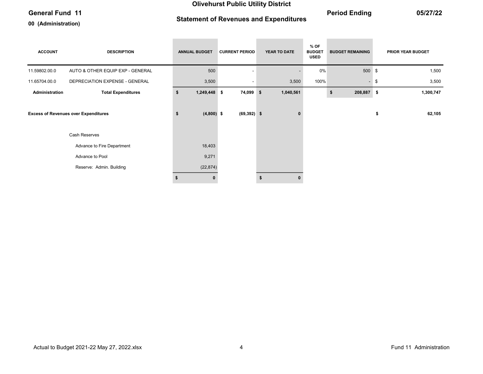# General Fund 11 05/27/22

### 00 (Administration)

# Statement of Revenues and Expenditures

| <b>ACCOUNT</b> | <b>DESCRIPTION</b>                          | <b>ANNUAL BUDGET</b> | <b>CURRENT PERIOD</b> | YEAR TO DATE | $%$ OF<br><b>BUDGET</b><br><b>USED</b> | <b>BUDGET REMAINING</b> | <b>PRIOR YEAR BUDGET</b> |
|----------------|---------------------------------------------|----------------------|-----------------------|--------------|----------------------------------------|-------------------------|--------------------------|
| 11.59802.00.0  | AUTO & OTHER EQUIP EXP - GENERAL            | 500                  |                       |              | 0%                                     | 500 \$                  | 1,500                    |
| 11.65704.00.0  | DEPRECIATION EXPENSE - GENERAL              | 3,500                |                       | 3,500        | 100%                                   | $\sim$                  | \$<br>3,500              |
| Administration | <b>Total Expenditures</b>                   | \$<br>1,249,448 \$   | 74,099 \$             | 1,040,561    |                                        | 208,887 \$<br>\$        | 1,300,747                |
|                | <b>Excess of Revenues over Expenditures</b> | \$<br>$(4,800)$ \$   | $(69, 392)$ \$        | 0            |                                        |                         | \$<br>62,105             |
|                | Cash Reserves                               |                      |                       |              |                                        |                         |                          |
|                | Advance to Fire Department                  | 18,403               |                       |              |                                        |                         |                          |
|                | Advance to Pool                             | 9,271                |                       |              |                                        |                         |                          |
|                | Reserve: Admin. Building                    | (22, 874)            |                       |              |                                        |                         |                          |
|                |                                             |                      |                       | \$           |                                        |                         |                          |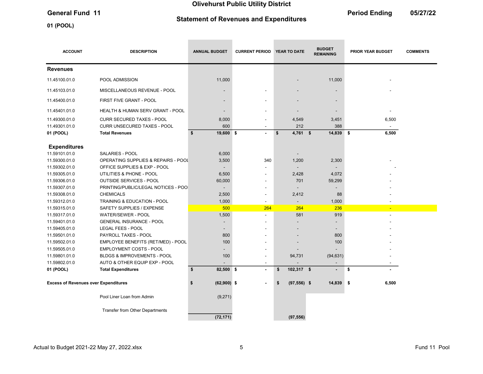# Statement of Revenues and Expenditures

01 (POOL)

General Fund 11 **Contract 11** Contract 12 Contract 2012 12 Contract 2012 12 Contract 2012 12 Contract 2012 12 Contract 2012 12 Contract 2012 12 Contract 2012 12 Contract 2012 12 Contract 2012 12 Contract 2012 12:00 12:00 1

| <b>ACCOUNT</b>                              | <b>DESCRIPTION</b>                                                                       | <b>ANNUAL BUDGET</b>            | <b>CURRENT PERIOD</b>    | <b>YEAR TO DATE</b>              | <b>BUDGET</b><br><b>REMAINING</b> | <b>PRIOR YEAR BUDGET</b> | <b>COMMENTS</b> |
|---------------------------------------------|------------------------------------------------------------------------------------------|---------------------------------|--------------------------|----------------------------------|-----------------------------------|--------------------------|-----------------|
| <b>Revenues</b>                             |                                                                                          |                                 |                          |                                  |                                   |                          |                 |
| 11.45100.01.0                               | POOL ADMISSION                                                                           | 11,000                          |                          |                                  | 11,000                            |                          |                 |
| 11.45103.01.0                               | MISCELLANEOUS REVENUE - POOL                                                             |                                 |                          |                                  |                                   |                          |                 |
| 11.45400.01.0                               | FIRST FIVE GRANT - POOL                                                                  | $\overline{\phantom{a}}$        |                          |                                  | $\blacksquare$                    |                          |                 |
| 11.45401.01.0                               | <b>HEALTH &amp; HUMAN SERV GRANT - POOL</b>                                              | $\overline{\phantom{a}}$        |                          |                                  |                                   |                          |                 |
| 11.49300.01.0<br>11.49301.01.0<br>01 (POOL) | <b>CURR SECURED TAXES - POOL</b><br>CURR UNSECURED TAXES - POOL<br><b>Total Revenues</b> | 8,000<br>600<br>19,600 \$<br>\$ | $\blacksquare$           | 4,549<br>212<br>\$<br>$4,761$ \$ | 3,451<br>388<br>14,839            | 6,500<br>6,500<br>\$     |                 |
| <b>Expenditures</b>                         |                                                                                          |                                 |                          |                                  |                                   |                          |                 |
| 11.59101.01.0                               | <b>SALARIES - POOL</b>                                                                   | 6,000                           |                          |                                  |                                   |                          |                 |
| 11.59300.01.0                               | OPERATING SUPPLIES & REPAIRS - POOL                                                      | 3,500                           | 340                      | 1,200                            | 2,300                             |                          |                 |
| 11.59302.01.0                               | OFFICE SUPPLIES & EXP - POOL                                                             | $\overline{\phantom{a}}$        |                          |                                  |                                   |                          |                 |
| 11.59305.01.0                               | UTILITIES & PHONE - POOL                                                                 | 6,500                           |                          | 2,428                            | 4,072                             |                          |                 |
| 11.59306.01.0                               | <b>OUTSIDE SERVICES - POOL</b>                                                           | 60,000                          |                          | 701                              | 59,299                            |                          |                 |
| 11.59307.01.0                               | PRINTING/PUBLIC/LEGAL NOTICES - POO                                                      | $\overline{\phantom{m}}$        |                          |                                  |                                   |                          |                 |
| 11.59308.01.0                               | <b>CHEMICALS</b>                                                                         | 2,500                           | $\overline{\phantom{a}}$ | 2,412                            | 88                                |                          |                 |
| 11.59312.01.0                               | TRAINING & EDUCATION - POOL                                                              | 1,000                           |                          |                                  | 1,000                             |                          |                 |
| 11.59315.01.0                               | SAFETY SUPPLIES / EXPENSE                                                                | 500                             | 264                      | 264                              | 236                               | ٠                        |                 |
| 11.59317.01.0                               | WATER/SEWER - POOL                                                                       | 1,500                           |                          | 581                              | 919                               | $\overline{a}$           |                 |
| 11.59401.01.0                               | <b>GENERAL INSURANCE - POOL</b>                                                          |                                 |                          |                                  |                                   |                          |                 |
| 11.59405.01.0                               | LEGAL FEES - POOL                                                                        | $\overline{\phantom{0}}$        |                          |                                  | $\overline{\phantom{a}}$          |                          |                 |
| 11.59501.01.0                               | PAYROLL TAXES - POOL                                                                     | 800                             |                          |                                  | 800                               |                          |                 |
| 11.59502.01.0                               | EMPLOYEE BENEFITS (RET/MED) - POOL                                                       | 100                             |                          |                                  | 100                               |                          |                 |
| 11.59505.01.0                               | <b>EMPLOYMENT COSTS - POOL</b>                                                           |                                 |                          |                                  |                                   |                          |                 |
| 11.59801.01.0                               | <b>BLDGS &amp; IMPROVEMENTS - POOL</b>                                                   | 100                             |                          | 94,731                           | (94, 631)                         |                          |                 |
| 11.59802.01.0                               | AUTO & OTHER EQUIP EXP - POOL                                                            |                                 |                          |                                  |                                   | $\overline{\phantom{a}}$ |                 |
| 01 (POOL)                                   | <b>Total Expenditures</b>                                                                | \$<br>82,500 \$                 | $\blacksquare$           | 102,317 \$<br>\$                 | $\blacksquare$                    | \$                       |                 |
| <b>Excess of Revenues over Expenditures</b> |                                                                                          | \$<br>$(62,900)$ \$             |                          | $(97,556)$ \$<br>\$              | 14,839 \$                         | 6,500                    |                 |
|                                             | Pool Liner Loan from Admin                                                               | (9,271)                         |                          |                                  |                                   |                          |                 |
|                                             | <b>Transfer from Other Departments</b>                                                   | (72, 171)                       |                          | (97, 556)                        |                                   |                          |                 |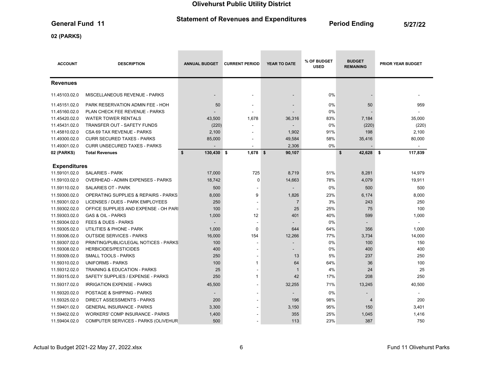# Statement of Revenues and Expenditures<br>
General Fund 11 1997/22

**Contract Contract Contract** 

02 (PARKS)

| <b>ACCOUNT</b>      | <b>DESCRIPTION</b>                              | <b>ANNUAL BUDGET</b>     | <b>CURRENT PERIOD</b>    | <b>YEAR TO DATE</b>      | % OF BUDGET<br><b>USED</b> | <b>BUDGET</b><br><b>REMAINING</b> | <b>PRIOR YEAR BUDGET</b> |
|---------------------|-------------------------------------------------|--------------------------|--------------------------|--------------------------|----------------------------|-----------------------------------|--------------------------|
| <b>Revenues</b>     |                                                 |                          |                          |                          |                            |                                   |                          |
| 11.45103.02.0       | <b>MISCELLANEOUS REVENUE - PARKS</b>            | $\overline{\phantom{a}}$ | ٠                        | $\overline{\phantom{a}}$ | 0%                         |                                   |                          |
| 11.45151.02.0       | PARK RESERVATION ADMIN FEE - HOH                | 50                       |                          |                          | 0%                         | 50                                | 959                      |
| 11.45160.02.0       | PLAN CHECK FEE REVENUE - PARKS                  |                          |                          |                          | 0%                         |                                   |                          |
| 11.45420.02.0       | <b>WATER TOWER RENTALS</b>                      | 43,500                   | 1,678                    | 36,316                   | 83%                        | 7,184                             | 35,000                   |
| 11.45431.02.0       | <b>TRANSFER OUT - SAFETY FUNDS</b>              | (220)                    |                          |                          | 0%                         | (220)                             | (220)                    |
| 11.45810.02.0       | CSA 69 TAX REVENUE - PARKS                      | 2,100                    |                          | 1,902                    | 91%                        | 198                               | 2,100                    |
| 11.49300.02.0       | <b>CURR SECURED TAXES - PARKS</b>               | 85,000                   |                          | 49,584                   | 58%                        | 35,416                            | 80,000                   |
| 11.49301.02.0       | <b>CURR UNSECURED TAXES - PARKS</b>             |                          |                          | 2,306                    | 0%                         |                                   | $\blacksquare$           |
| 02 (PARKS)          | <b>Total Revenues</b>                           | 130,430 \$<br>\$         | $1,678$ \$               | 90,107                   |                            | \$<br>42,628 \$                   | 117,839                  |
|                     |                                                 |                          |                          |                          |                            |                                   |                          |
| <b>Expenditures</b> |                                                 |                          |                          |                          |                            |                                   |                          |
| 11.59101.02.0       | <b>SALARIES - PARK</b>                          | 17,000                   | 725                      | 8,719                    | 51%                        | 8,281                             | 14,979                   |
| 11.59103.02.0       | <b>OVERHEAD - ADMIN EXPENSES - PARKS</b>        | 18,742                   | $\Omega$                 | 14,663                   | 78%                        | 4,079                             | 19,911                   |
| 11.59110.02.0       | <b>SALARIES OT - PARK</b>                       | 500                      |                          |                          | 0%                         | 500                               | 500                      |
| 11.59300.02.0       | <b>OPERATING SUPPLIES &amp; REPAIRS - PARKS</b> | 8,000                    | 9                        | 1,826                    | 23%                        | 6,174                             | 8,000                    |
| 11.59301.02.0       | LICENSES / DUES - PARK EMPLOYEES                | 250                      |                          | $\overline{7}$           | 3%                         | 243                               | 250                      |
| 11.59302.02.0       | OFFICE SUPPLIES AND EXPENSE - OH PARI           | 100                      |                          | 25                       | 25%                        | 75                                | 100                      |
| 11.59303.02.0       | <b>GAS &amp; OIL - PARKS</b>                    | 1,000                    | 12                       | 401                      | 40%                        | 599                               | 1,000                    |
| 11.59304.02.0       | <b>FEES &amp; DUES - PARKS</b>                  |                          |                          |                          | 0%                         |                                   |                          |
| 11.59305.02.0       | UTILITIES & PHONE - PARK                        | 1,000                    | $\mathbf 0$              | 644                      | 64%                        | 356                               | 1,000                    |
| 11.59306.02.0       | <b>OUTSIDE SERVICES - PARKS</b>                 | 16,000                   | 154                      | 12,266                   | 77%                        | 3,734                             | 14,000                   |
| 11.59307.02.0       | PRINTING/PUBLIC/LEGAL NOTICES - PARKS           | 100                      |                          |                          | 0%                         | 100                               | 150                      |
| 11.59308.02.0       | <b>HERBICIDES/PESTICIDES</b>                    | 400                      |                          |                          | 0%                         | 400                               | 400                      |
| 11.59309.02.0       | SMALL TOOLS - PARKS                             | 250                      |                          | 13                       | 5%                         | 237                               | 250                      |
| 11.59310.02.0       | <b>UNIFORMS - PARKS</b>                         | 100                      | 1                        | 64                       | 64%                        | 36                                | 100                      |
| 11.59312.02.0       | TRAINING & EDUCATION - PARKS                    | 25                       |                          | -1                       | 4%                         | 24                                | 25                       |
| 11.59315.02.0       | SAFETY SUPPLIES / EXPENSE - PARKS               | 250                      | 1                        | 42                       | 17%                        | 208                               | 250                      |
| 11.59317.02.0       | <b>IRRIGATION EXPENSE - PARKS</b>               | 45,500                   | $\overline{\phantom{a}}$ | 32,255                   | 71%                        | 13,245                            | 40,500                   |
| 11.59320.02.0       | POSTAGE & SHIPPING - PARKS                      |                          |                          |                          | 0%                         | $\overline{\phantom{a}}$          |                          |
| 11.59325.02.0       | <b>DIRECT ASSESSMENTS - PARKS</b>               | 200                      |                          | 196                      | 98%                        | 4                                 | 200                      |
| 11.59401.02.0       | <b>GENERAL INSURANCE - PARKS</b>                | 3,300                    |                          | 3,150                    | 95%                        | 150                               | 3,401                    |
| 11.59402.02.0       | <b>WORKERS' COMP INSURANCE - PARKS</b>          | 1,400                    |                          | 355                      | 25%                        | 1,045                             | 1,416                    |
| 11.59404.02.0       | COMPUTER SERVICES - PARKS (OLIVEHUR             | 500                      |                          | 113                      | 23%                        | 387                               | 750                      |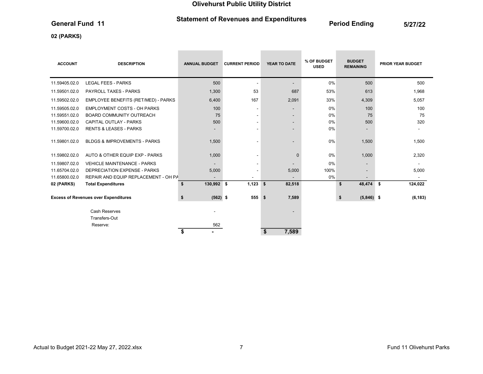# Statement of Revenues and Expenditures<br>
General Fund 11 1997/22

 $\sim$ 

**Contract Contract** 

**Contract Contract Contract** 

# 02 (PARKS)

| <b>ACCOUNT</b> | <b>DESCRIPTION</b>                          | <b>ANNUAL BUDGET</b>     | <b>CURRENT PERIOD</b>    | <b>YEAR TO DATE</b>      | % OF BUDGET<br><b>USED</b> | <b>BUDGET</b><br><b>REMAINING</b> | <b>PRIOR YEAR BUDGET</b> |
|----------------|---------------------------------------------|--------------------------|--------------------------|--------------------------|----------------------------|-----------------------------------|--------------------------|
| 11.59405.02.0  | <b>LEGAL FEES - PARKS</b>                   | 500                      | $\overline{\phantom{a}}$ | $\overline{\phantom{a}}$ | 0%                         | 500                               | 500                      |
| 11.59501.02.0  | <b>PAYROLL TAXES - PARKS</b>                | 1,300                    | 53                       | 687                      | 53%                        | 613                               | 1,968                    |
| 11.59502.02.0  | EMPLOYEE BENEFITS (RET/MED) - PARKS         | 6,400                    | 167                      | 2,091                    | 33%                        | 4,309                             | 5,057                    |
| 11.59505.02.0  | <b>EMPLOYMENT COSTS - OH PARKS</b>          | 100                      | $\overline{\phantom{a}}$ | $\sim$                   | 0%                         | 100                               | 100                      |
| 11.59551.02.0  | <b>BOARD COMMUNITY OUTREACH</b>             | 75                       | $\blacksquare$           | $\overline{\phantom{a}}$ | 0%                         | 75                                | 75                       |
| 11.59600.02.0  | <b>CAPITAL OUTLAY - PARKS</b>               | 500                      | ٠                        |                          | 0%                         | 500                               | 320                      |
| 11.59700.02.0  | <b>RENTS &amp; LEASES - PARKS</b>           | $\overline{\phantom{a}}$ | $\overline{\phantom{a}}$ | $\overline{\phantom{a}}$ | 0%                         | $\overline{\phantom{a}}$          |                          |
| 11.59801.02.0  | <b>BLDGS &amp; IMPROVEMENTS - PARKS</b>     | 1,500                    |                          | $\overline{\phantom{a}}$ | 0%                         | 1,500                             | 1,500                    |
| 11.59802.02.0  | AUTO & OTHER EQUIP EXP - PARKS              | 1,000                    | $\overline{\phantom{a}}$ | $\mathbf 0$              | 0%                         | 1,000                             | 2,320                    |
| 11.59807.02.0  | <b>VEHICLE MAINTENANCE - PARKS</b>          |                          | $\overline{\phantom{a}}$ |                          | 0%                         | $\overline{\phantom{a}}$          |                          |
| 11.65704.02.0  | <b>DEPRECIATION EXPENSE - PARKS</b>         | 5,000                    | ٠                        | 5,000                    | 100%                       |                                   | 5,000                    |
| 11.65800.02.0  | REPAIR AND EQUIP REPLACEMENT - OH PA        |                          | ٠                        |                          | 0%                         |                                   |                          |
| 02 (PARKS)     | <b>Total Expenditures</b>                   | 130,992 \$<br>\$         | 1,123                    | 82,518<br>\$             |                            | \$<br>48,474                      | 124,022<br>\$            |
|                | <b>Excess of Revenues over Expenditures</b> | $(562)$ \$<br>\$         | 555S                     | 7,589                    |                            | \$<br>$(5,846)$ \$                | (6, 183)                 |
|                | <b>Cash Reserves</b>                        |                          |                          |                          |                            |                                   |                          |
|                | Transfers-Out                               |                          |                          |                          |                            |                                   |                          |
|                | Reserve:                                    | 562                      |                          | 7,589<br>\$              |                            |                                   |                          |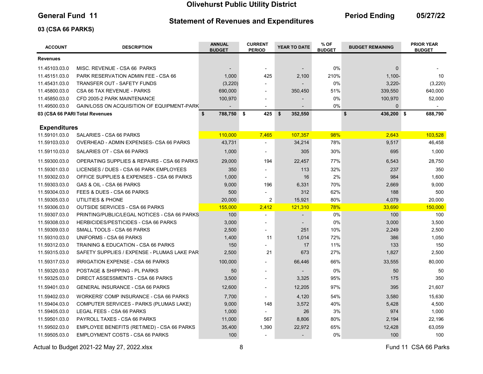### Statement of Revenues and Expenditures

General Fund 11 **Continues Containers and Fund and Period Ending** 05/27/22

# 03 (CSA 66 PARKS)

| <b>ACCOUNT</b>                 | <b>DESCRIPTION</b>                                                                   | <b>ANNUAL</b><br><b>BUDGET</b> | <b>CURRENT</b><br><b>PERIOD</b> | <b>YEAR TO DATE</b> | % OF<br><b>BUDGET</b> | <b>BUDGET REMAINING</b> | <b>PRIOR YEAR</b><br><b>BUDGET</b> |
|--------------------------------|--------------------------------------------------------------------------------------|--------------------------------|---------------------------------|---------------------|-----------------------|-------------------------|------------------------------------|
| <b>Revenues</b>                |                                                                                      |                                |                                 |                     |                       |                         |                                    |
| 11.45103.03.0                  | MISC. REVENUE - CSA 66 PARKS                                                         |                                |                                 |                     | 0%                    | $\mathbf{0}$            |                                    |
| 11.45151.03.0                  | PARK RESERVATION ADMIN FEE - CSA 66                                                  | 1,000                          | 425                             | 2,100               | 210%                  | $1,100 -$               | 10                                 |
| 11.45431.03.0                  | <b>TRANSFER OUT - SAFETY FUNDS</b>                                                   | (3, 220)                       |                                 |                     | 0%                    | $3,220 -$               | (3, 220)                           |
| 11.45800.03.0                  | CSA 66 TAX REVENUE - PARKS                                                           | 690,000                        | $\blacksquare$                  | 350,450             | 51%                   | 339,550                 | 640,000                            |
| 11.45850.03.0                  | CFD 2005-2 PARK MAINTENANCE                                                          | 100,970                        | $\overline{\phantom{a}}$        |                     | $0\%$                 | 100,970                 | 52,000                             |
| 11.49500.03.0                  | GAIN/LOSS ON ACQUISITION OF EQUIPMENT-PARK                                           |                                |                                 |                     | 0%                    | $\Omega$                |                                    |
|                                | 03 (CSA 66 PARI Total Revenues                                                       | \$<br>788,750                  | <b>S</b><br>425                 | \$<br>352,550       |                       | \$<br>436,200 \$        | 688,790                            |
| <b>Expenditures</b>            |                                                                                      |                                |                                 |                     |                       |                         |                                    |
| 11.59101.03.0                  | <b>SALARIES - CSA 66 PARKS</b>                                                       | 110,000                        | 7,465                           | 107,357             | 98%                   | 2,643                   | 103.528                            |
| 11.59103.03.0                  | OVERHEAD - ADMIN EXPENSES- CSA 66 PARKS                                              | 43,731                         |                                 | 34,214              | 78%                   | 9,517                   | 46,458                             |
| 11.59110.03.0                  | SALARIES OT - CSA 66 PARKS                                                           | 1,000                          |                                 | 305                 | 30%                   | 695                     | 1,000                              |
| 11.59300.03.0                  | OPERATING SUPPLIES & REPAIRS - CSA 66 PARKS                                          | 29,000                         | 194                             | 22,457              | 77%                   | 6,543                   | 28,750                             |
|                                |                                                                                      |                                |                                 |                     |                       |                         |                                    |
| 11.59301.03.0                  | LICENSES / DUES - CSA 66 PARK EMPLOYEES<br>OFFICE SUPPLIES & EXPENSES - CSA 66 PARKS | 350<br>1,000                   |                                 | 113<br>16           | 32%<br>2%             | 237<br>984              | 350<br>1,600                       |
| 11.59302.03.0<br>11.59303.03.0 | GAS & OIL - CSA 66 PARKS                                                             | 9,000                          | 196                             | 6,331               | 70%                   | 2,669                   | 9,000                              |
| 11.59304.03.0                  | FEES & DUES - CSA 66 PARKS                                                           | 500                            |                                 | 312                 | 62%                   | 188                     | 500                                |
| 11.59305.03.0                  | UTILITIES & PHONE                                                                    | 20,000                         | $\overline{\mathbf{c}}$         | 15,921              | 80%                   | 4,079                   | 20,000                             |
| 11.59306.03.0                  | <b>OUTSIDE SERVICES - CSA 66 PARKS</b>                                               | 155,000                        | 2,412                           | 121,310             | 78%                   | 33,690                  | 150,000                            |
| 11.59307.03.0                  | PRINTING/PUBLIC/LEGAL NOTICES - CSA 66 PARKS                                         | 100                            |                                 |                     | 0%                    | 100                     | 100                                |
| 11.59308.03.0                  | <b>HERBICIDES/PESTICIDES - CSA 66 PARKS</b>                                          | 3,000                          | $\overline{a}$                  |                     | 0%                    | 3,000                   | 3,500                              |
| 11.59309.03.0                  | SMALL TOOLS - CSA 66 PARKS                                                           | 2,500                          |                                 | 251                 | 10%                   | 2,249                   | 2,500                              |
| 11.59310.03.0                  | UNIFORMS - CSA 66 PARKS                                                              | 1,400                          | 11                              | 1,014               | 72%                   | 386                     | 1,050                              |
| 11.59312.03.0                  | TRAINING & EDUCATION - CSA 66 PARKS                                                  | 150                            |                                 | 17                  | 11%                   | 133                     | 150                                |
| 11.59315.03.0                  | SAFETY SUPPLIES / EXPENSE - PLUMAS LAKE PAR                                          | 2,500                          | 21                              | 673                 | 27%                   | 1,827                   | 2,500                              |
| 11.59317.03.0                  | IRRIGATION EXPENSE - CSA 66 PARKS                                                    | 100,000                        |                                 | 66,446              | 66%                   | 33,555                  | 80,000                             |
| 11.59320.03.0                  | POSTAGE & SHIPPING - PL PARKS                                                        | 50                             |                                 |                     | 0%                    | 50                      | 50                                 |
| 11.59325.03.0                  | DIRECT ASSESSMENTS - CSA 66 PARKS                                                    | 3,500                          | $\overline{a}$                  | 3,325               | 95%                   | 175                     | 350                                |
| 11.59401.03.0                  | <b>GENERAL INSURANCE - CSA 66 PARKS</b>                                              | 12,600                         | $\overline{a}$                  | 12,205              | 97%                   | 395                     | 21,607                             |
| 11.59402.03.0                  | WORKERS' COMP INSURANCE - CSA 66 PARKS                                               | 7,700                          |                                 | 4,120               | 54%                   | 3,580                   | 15,630                             |
| 11.59404.03.0                  | COMPUTER SERVICES - PARKS (PLUMAS LAKE)                                              | 9,000                          | 148                             | 3,572               | 40%                   | 5,428                   | 4,500                              |
| 11.59405.03.0                  | LEGAL FEES - CSA 66 PARKS                                                            | 1,000                          |                                 | 26                  | 3%                    | 974                     | 1,000                              |
| 11.59501.03.0                  | PAYROLL TAXES - CSA 66 PARKS                                                         | 11,000                         | 567                             | 8,806               | 80%                   | 2,194                   | 22,196                             |
| 11.59502.03.0                  | EMPLOYEE BENEFITS (RET/MED) - CSA 66 PARKS                                           | 35,400                         | 1,390                           | 22,972              | 65%                   | 12,428                  | 63,059                             |
| 11.59505.03.0                  | <b>EMPLOYMENT COSTS - CSA 66 PARKS</b>                                               | 100                            |                                 |                     | 0%                    | 100                     | 100                                |

Actual to Budget 2021-22 May 27, 2022.xlsx 6 Actual to Budget 2021-22 May 27, 2022.xlsx 6 Actual 10 CSA 66 Parks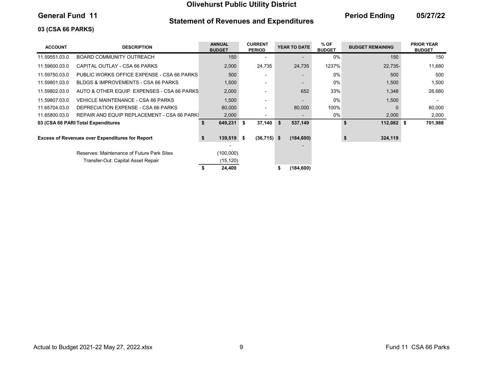# Statement of Revenues and Expenditures

General Fund 11 **Continues Containers and Fund and Period Ending** 05/27/22

# 03 (CSA 66 PARKS)

| <b>ACCOUNT</b> | <b>DESCRIPTION</b>                                     | <b>ANNUAL</b><br><b>BUDGET</b> | <b>CURRENT</b><br><b>PERIOD</b> | YEAR TO DATE  | % OF<br><b>BUDGET</b> | <b>BUDGET REMAINING</b> | <b>PRIOR YEAR</b><br><b>BUDGET</b> |
|----------------|--------------------------------------------------------|--------------------------------|---------------------------------|---------------|-----------------------|-------------------------|------------------------------------|
| 11.59551.03.0  | <b>BOARD COMMUNITY OUTREACH</b>                        | 150                            |                                 |               | 0%                    | 150                     | 150                                |
| 11.59600.03.0  | CAPITAL OUTLAY - CSA 66 PARKS                          | 2,000                          | 24,735                          | 24,735        | 1237%                 | 22,735-                 | 11,680                             |
| 11.59750.03.0  | PUBLIC WORKS OFFICE EXPENSE - CSA 66 PARKS             | 500                            |                                 |               | 0%                    | 500                     | 500                                |
| 11.59801.03.0  | BLDGS & IMPROVEMENTS - CSA 66 PARKS                    | 1,500                          | $\overline{\phantom{0}}$        |               | 0%                    | 1,500                   | 1,500                              |
| 11.59802.03.0  | AUTO & OTHER EQUIP. EXPENSES - CSA 66 PARKS            | 2,000                          |                                 | 652           | 33%                   | 1,348                   | 26,680                             |
| 11.59807.03.0  | VEHICLE MAINTENANCE - CSA 66 PARKS                     | 1,500                          |                                 |               | 0%                    | 1,500                   |                                    |
| 11.65704.03.0  | DEPRECIATION EXPENSE - CSA 66 PARKS                    | 80,000                         |                                 | 80,000        | 100%                  |                         | 80,000                             |
| 11.65800.03.0  | REPAIR AND EQUIP REPLACEMENT - CSA 66 PARK!            | 2,000                          |                                 |               | $0\%$                 | 2,000                   | 2,000                              |
|                | 03 (CSA 66 PARI Total Expenditures                     | 649,231 \$<br>\$               | 37,140                          | 537,149<br>Ŝ. |                       | 112,082 \$<br>\$        | 701,988                            |
|                | <b>Excess of Revenues over Expenditures for Report</b> | $139,519$ \$<br>\$             | $(36,715)$ \$                   | (184, 600)    |                       | 324,119                 |                                    |
|                | Reserves: Maintenance of Future Park Sites             | (100,000)                      |                                 |               |                       |                         |                                    |
|                | Transfer-Out: Capital Asset Repair                     | (15, 120)                      |                                 |               |                       |                         |                                    |
|                |                                                        | 24,400                         |                                 | (184, 600)    |                       |                         |                                    |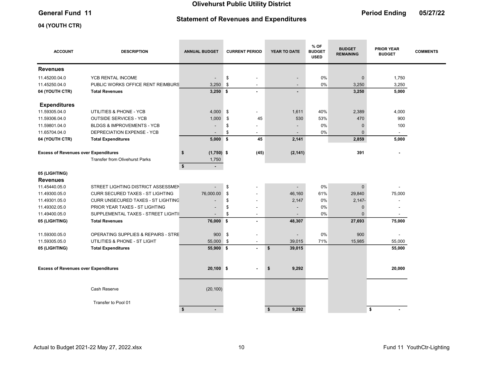# Statement of Revenues and Expenditures

the control of the control of the

the control of the control of the

# General Fund 11 **Contract Contract Contract Contract Contract Contract Contract Contract Contract Contract Contract Contract Contract Contract Contract Contract Contract Contract Contract Contract Contract Contract Contrac**

the control of the control of

# 04 (YOUTH CTR)

| <b>ACCOUNT</b>                              | <b>DESCRIPTION</b>                        | <b>ANNUAL BUDGET</b>            | <b>CURRENT PERIOD</b>          | <b>YEAR TO DATE</b> | % OF<br><b>BUDGET</b><br><b>USED</b> | <b>BUDGET</b><br><b>REMAINING</b> | <b>PRIOR YEAR</b><br><b>BUDGET</b> | <b>COMMENTS</b> |
|---------------------------------------------|-------------------------------------------|---------------------------------|--------------------------------|---------------------|--------------------------------------|-----------------------------------|------------------------------------|-----------------|
| <b>Revenues</b>                             |                                           |                                 |                                |                     |                                      |                                   |                                    |                 |
| 11.45200.04.0                               | YCB RENTAL INCOME                         | ÷,                              | \$<br>$\blacksquare$           |                     | 0%                                   | $\pmb{0}$                         | 1,750                              |                 |
| 11.45250.04.0                               | PUBLIC WORKS OFFICE RENT REIMBURS         | 3,250                           | \$<br>$\overline{\phantom{a}}$ |                     | 0%                                   | 3,250                             | 3,250                              |                 |
| 04 (YOUTH CTR)                              | <b>Total Revenues</b>                     | $3,250$ \$                      | $\sim$                         |                     |                                      | 3,250                             | 5,000                              |                 |
| <b>Expenditures</b>                         |                                           |                                 |                                |                     |                                      |                                   |                                    |                 |
| 11.59305.04.0                               | UTILITIES & PHONE - YCB                   | 4,000                           | \$<br>÷,                       | 1,611               | 40%                                  | 2,389                             | 4,000                              |                 |
| 11.59306.04.0                               | <b>OUTSIDE SERVICES - YCB</b>             | 1,000                           | \$<br>45                       | 530                 | 53%                                  | 470                               | 900                                |                 |
| 11.59801.04.0                               | <b>BLDGS &amp; IMPROVEMENTS - YCB</b>     |                                 | \$                             |                     | 0%                                   | $\pmb{0}$                         | 100                                |                 |
| 11.65704.04.0                               | DEPRECIATION EXPENSE - YCB                |                                 | \$<br>$\blacksquare$           |                     | 0%                                   | $\mathbf{0}$                      | $\blacksquare$                     |                 |
| 04 (YOUTH CTR)                              | <b>Total Expenditures</b>                 | $5,000$ \$                      | 45                             | 2,141               |                                      | 2,859                             | 5,000                              |                 |
| <b>Excess of Revenues over Expenditures</b> |                                           | $(1,750)$ \$<br>\$              | (45)                           | (2, 141)            |                                      | 391                               |                                    |                 |
|                                             | <b>Transfer from Olivehurst Parks</b>     | 1,750                           |                                |                     |                                      |                                   |                                    |                 |
|                                             |                                           | $\sqrt[6]{2}$<br>$\blacksquare$ |                                |                     |                                      |                                   |                                    |                 |
| 05 (LIGHTING)                               |                                           |                                 |                                |                     |                                      |                                   |                                    |                 |
| <b>Revenues</b>                             |                                           |                                 |                                |                     |                                      |                                   |                                    |                 |
| 11.45440.05.0                               | STREET LIGHTING DISTRICT ASSESSMEN        |                                 | \$                             |                     | 0%                                   | $\mathbf{0}$                      |                                    |                 |
| 11.49300.05.0                               | <b>CURR SECURED TAXES - ST LIGHTING</b>   | 76,000.00                       | \$                             | 46,160              | 61%                                  | 29,840                            | 75,000                             |                 |
| 11.49301.05.0                               | <b>CURR UNSECURED TAXES - ST LIGHTING</b> |                                 | \$                             | 2,147               | 0%                                   | $2,147-$                          |                                    |                 |
| 11.49302.05.0                               | PRIOR YEAR TAXES - ST LIGHTING            |                                 | \$<br>۰                        |                     | 0%                                   | $\mathbf 0$                       |                                    |                 |
| 11.49400.05.0                               | SUPPLEMENTAL TAXES - STREET LIGHTII       |                                 | \$<br>$\overline{\phantom{a}}$ |                     | 0%                                   | $\Omega$                          |                                    |                 |
| 05 (LIGHTING)                               | <b>Total Revenues</b>                     | 76,000 \$                       | $\blacksquare$                 | 48,307              |                                      | 27,693                            | 75,000                             |                 |
| 11.59300.05.0                               | OPERATING SUPPLIES & REPAIRS - STRE       | 900                             | \$<br>$\overline{\phantom{a}}$ |                     | 0%                                   | 900                               |                                    |                 |
| 11.59305.05.0                               | UTILITIES & PHONE - ST LIGHT              | 55,000                          | \$<br>$\blacksquare$           | 39,015              | 71%                                  | 15,985                            | 55,000                             |                 |
| 05 (LIGHTING)                               | <b>Total Expenditures</b>                 | 55,900 \$                       | $\blacksquare$                 | \$<br>39,015        |                                      |                                   | 55,000                             |                 |
|                                             |                                           |                                 |                                |                     |                                      |                                   |                                    |                 |
| <b>Excess of Revenues over Expenditures</b> |                                           | $20,100$ \$                     |                                | 9,292<br>\$         |                                      |                                   | 20,000                             |                 |
|                                             |                                           |                                 |                                |                     |                                      |                                   |                                    |                 |
|                                             | Cash Reserve                              | (20, 100)                       |                                |                     |                                      |                                   |                                    |                 |
|                                             | Transfer to Pool 01                       |                                 |                                |                     |                                      |                                   |                                    |                 |
|                                             |                                           | \$<br>$\blacksquare$            |                                | \$<br>9,292         |                                      |                                   | \$                                 |                 |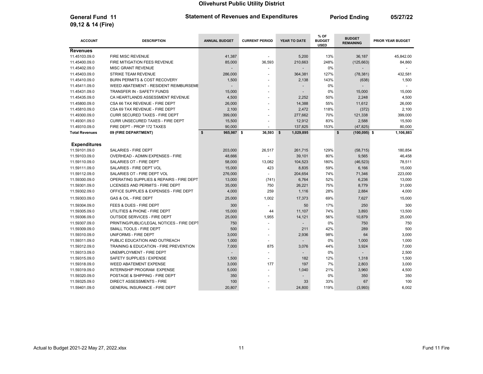General Fund 11 **Period Ending 21 Statement of Revenues and Expenditures** Period Ending 05/27/22

 $\sim$ 

 $\overline{\phantom{a}}$ 

| <b>ACCOUNT</b>        | <b>DESCRIPTION</b>                           | <b>ANNUAL BUDGET</b> | <b>CURRENT PERIOD</b>    | YEAR TO DATE    | % OF<br><b>BUDGET</b><br><b>USED</b> | <b>BUDGET</b><br><b>REMAINING</b> | <b>PRIOR YEAR BUDGET</b> |
|-----------------------|----------------------------------------------|----------------------|--------------------------|-----------------|--------------------------------------|-----------------------------------|--------------------------|
| <b>Revenues</b>       |                                              |                      |                          |                 |                                      |                                   |                          |
| 11.45103.09.0         | FIRE MISC REVENUE                            | 41,387               | $\overline{\phantom{a}}$ | 5,200           | 13%                                  | 36,187                            | 45,842.00                |
| 11.45400.09.0         | FIRE MITIGATION FEES REVENUE                 | 85,000               | 36,593                   | 210,663         | 248%                                 | (125, 663)                        | 84,860                   |
| 11.45402.09.0         | MISC GRANT REVENUE                           |                      |                          |                 | 0%                                   |                                   |                          |
| 11.45403.09.0         | STRIKE TEAM REVENUE                          | 286,000              |                          | 364,381         | 127%                                 | (78, 381)                         | 432,581                  |
| 11.45410.09.0         | <b>BURN PERMITS &amp; COST RECOVERY</b>      | 1,500                |                          | 2,138           | 143%                                 | (638)                             | 1,500                    |
| 11.45411.09.0         | <b>WEED ABATEMENT - RESIDENT REIMBURSEME</b> |                      |                          |                 | 0%                                   |                                   |                          |
| 11.45431.09.0         | TRANSFER IN - SAFETY FUNDS                   | 15,000               | $\sim$                   |                 | 0%                                   | 15,000                            | 15.000                   |
| 11.45435.09.0         | CA HEARTLANDS ASSESSMENT REVENUE             | 4,500                | $\blacksquare$           | 2,252           | 50%                                  | 2,248                             | 4,500                    |
| 11.45800.09.0         | CSA 66 TAX REVENUE - FIRE DEPT               | 26,000               | $\overline{a}$           | 14,388          | 55%                                  | 11,612                            | 26,000                   |
| 11.45810.09.0         | CSA 69 TAX REVENUE - FIRE DEPT               | 2,100                | $\sim$                   | 2,472           | 118%                                 | (372)                             | 2,100                    |
| 11.49300.09.0         | <b>CURR SECURED TAXES - FIRE DEPT</b>        | 399,000              | $\sim$                   | 277,662         | 70%                                  | 121,338                           | 399,000                  |
| 11.49301.09.0         | CURR UNSECURED TAXES - FIRE DEPT             | 15,500               |                          | 12,912          | 83%                                  | 2,588                             | 15,500                   |
| 11.49310.09.0         | FIRE DEPT - PROP 172 TAXES                   | 90,000               | $\blacksquare$           | 137,825         | 153%                                 | (47, 825)                         | 80,000                   |
| <b>Total Revenues</b> | 09 (FIRE DEPARTMENT)                         | \$<br>965,987 \$     | 36,593                   | \$<br>1,029,895 |                                      | \$<br>$(100, 095)$ \$             | 1,106,883                |
|                       |                                              |                      |                          |                 |                                      |                                   |                          |
| <b>Expenditures</b>   |                                              |                      |                          |                 |                                      |                                   |                          |
| 11.59101.09.0         | SALARIES - FIRE DEPT                         | 203,000              | 26,517                   | 261,715         | 129%                                 | (58, 715)                         | 180,854                  |
| 11.59103.09.0         | OVERHEAD - ADMIN EXPENSES - FIRE             | 48,666               |                          | 39,101          | 80%                                  | 9,565                             | 46,458                   |
| 11.59110.09.0         | SALARIES OT - FIRE DEPT                      | 58,000               | 13,082                   | 104,523         | 180%                                 | (46, 523)                         | 78,511                   |
| 11.59111.09.0         | SALARIES - FIRE DEPT VOL                     | 15,000               | 423                      | 8,835           | 59%                                  | 6,166                             | 15,000                   |
| 11.59112.09.0         | SALARIES OT - FIRE DEPT VOL                  | 276,000              |                          | 204,654         | 74%                                  | 71,346                            | 223,000                  |
| 11.59300.09.0         | OPERATING SUPPLIES & REPAIRS - FIRE DEPT     | 13,000               | (741)                    | 6,764           | 52%                                  | 6,236                             | 13,000                   |
| 11.59301.09.0         | LICENSES AND PERMITS - FIRE DEPT             | 35,000               | 750                      | 26,221          | 75%                                  | 8,779                             | 31,000                   |
| 11.59302.09.0         | OFFICE SUPPLIES & EXPENSES - FIRE DEPT       | 4,000                | 259                      | 1,116           | 28%                                  | 2,884                             | 4,000                    |
| 11.59303.09.0         | <b>GAS &amp; OIL - FIRE DEPT</b>             | 25,000               | 1,002                    | 17,373          | 69%                                  | 7,627                             | 15,000                   |
| 11.59304.09.0         | FEES & DUES - FIRE DEPT                      | 300                  |                          | 50              | 17%                                  | 250                               | 300                      |
| 11.59305.09.0         | UTILITIES & PHONE - FIRE DEPT                | 15,000               | 44                       | 11,107          | 74%                                  | 3,893                             | 13,500                   |
| 11.59306.09.0         | <b>OUTSIDE SERVICES - FIRE DEPT</b>          | 25,000               | 1,955                    | 14,121          | 56%                                  | 10,879                            | 25,000                   |
| 11.59307.09.0         | PRINTING/PUBLIC/LEGAL NOTICES - FIRE DEPT    | 750                  |                          |                 | 0%                                   | 750                               | 750                      |
| 11.59309.09.0         | SMALL TOOLS - FIRE DEPT                      | 500                  |                          | 211             | 42%                                  | 289                               | 500                      |
| 11.59310.09.0         | UNIFORMS - FIRE DEPT                         | 3,000                | $\overline{a}$           | 2,936           | 98%                                  | 64                                | 3,000                    |
| 11.59311.09.0         | PUBLIC EDUCATION AND OUTREACH                | 1,000                | $\tilde{\phantom{a}}$    |                 | 0%                                   | 1,000                             | 1,000                    |
| 11.59312.09.0         | TRAINING & EDUCATION - FIRE PREVENTION       | 7,000                | 875                      | 3,076           | 44%                                  | 3,924                             | 7,000                    |
| 11.59313.09.0         | UNEMPLOYMENT - FIRE DEPT                     |                      |                          |                 | 0%                                   |                                   | 2,500                    |
| 11.59315.09.0         | SAFETY SUPPLIES / EXPENSE                    | 1,500                | $\overline{\phantom{a}}$ | 182             | 12%                                  | 1,318                             | 1,500                    |
| 11.59318.09.0         | <b>WEED ABATEMENT EXPENSE</b>                | 3,000                | 177                      | 197             | 7%                                   | 2,803                             | 3,000                    |
| 11.59319.09.0         | INTERNSHIP PROGRAM EXPENSE                   | 5,000                | ÷.                       | 1,040           | 21%                                  | 3,960                             | 4,500                    |
| 11.59320.09.0         | POSTAGE & SHIPPING - FIRE DEPT               | 350                  |                          |                 | 0%                                   | 350                               | 350                      |
| 11.59325.09.0         | <b>DIRECT ASSESSMENTS - FIRE</b>             | 100                  |                          | 33              | 33%                                  | 67                                | 100                      |
| 11.59401.09.0         | <b>GENERAL INSURANCE - FIRE DEPT</b>         | 20,807               |                          | 24,800          | 119%                                 | (3,993)                           | 6.002                    |

09,12 & 14 (Fire)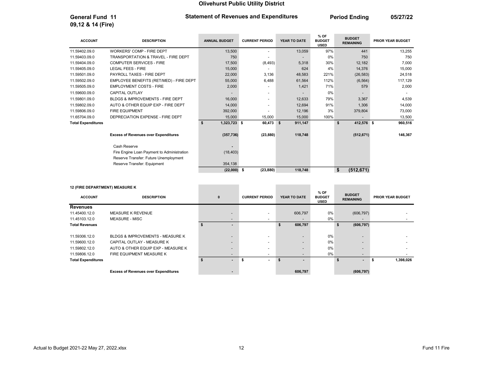General Fund 11 **Period Ending 21 Statement of Revenues and Expenditures** Period Ending 05/27/22

| <b>ACCOUNT</b>            | <b>DESCRIPTION</b>                          | <b>ANNUAL BUDGET</b> | <b>CURRENT PERIOD</b> | YEAR TO DATE  | % OF<br><b>BUDGET</b><br><b>USED</b> | <b>BUDGET</b><br><b>REMAINING</b> | <b>PRIOR YEAR BUDGET</b> |
|---------------------------|---------------------------------------------|----------------------|-----------------------|---------------|--------------------------------------|-----------------------------------|--------------------------|
| 11.59402.09.0             | <b>WORKERS' COMP - FIRE DEPT</b>            | 13,500               |                       | 13,059        | 97%                                  | 441                               | 13,255                   |
| 11.59403.09.0             | TRANSPORTATION & TRAVEL - FIRE DEPT         | 750                  |                       |               | 0%                                   | 750                               | 750                      |
| 11.59404.09.0             | <b>COMPUTER SERVICES - FIRE</b>             | 17,500               | (8, 493)              | 5,318         | 30%                                  | 12,182                            | 7,000                    |
| 11.59405.09.0             | <b>LEGAL FEES - FIRE</b>                    | 15,000               |                       | 624           | 4%                                   | 14,376                            | 15,000                   |
| 11.59501.09.0             | PAYROLL TAXES - FIRE DEPT                   | 22,000               | 3,136                 | 48,583        | 221%                                 | (26, 583)                         | 24,518                   |
| 11.59502.09.0             | EMPLOYEE BENEFITS (RET/MED) - FIRE DEPT     | 55,000               | 6,488                 | 61,564        | 112%                                 | (6, 564)                          | 117,129                  |
| 11.59505.09.0             | <b>EMPLOYMENT COSTS - FIRE</b>              | 2,000                |                       | 1,421         | 71%                                  | 579                               | 2,000                    |
| 11.59600.09.0             | <b>CAPITAL OUTLAY</b>                       |                      |                       |               | 0%                                   |                                   |                          |
| 11.59801.09.0             | BLDGS & IMPROVEMENTS - FIRE DEPT            | 16,000               |                       | 12,633        | 79%                                  | 3.367                             | 4,539                    |
| 11.59802.09.0             | AUTO & OTHER EQUIP EXP - FIRE DEPT          | 14,000               |                       | 12,694        | 91%                                  | 1,306                             | 14,000                   |
| 11.59806.09.0             | <b>FIRE EQUIPMENT</b>                       | 392,000              |                       | 12,196        | 3%                                   | 379,804                           | 73,000                   |
| 11.65704.09.0             | DEPRECIATION EXPENSE - FIRE DEPT            | 15,000               | 15,000                | 15,000        | 100%                                 |                                   | 13,500                   |
| <b>Total Expenditures</b> |                                             | 1,323,723 \$<br>\$   | 60,473                | 911,147<br>\$ |                                      | 412,576 \$<br>\$                  | 960,516                  |
|                           | <b>Excess of Revenues over Expenditures</b> | (357, 736)           | (23, 880)             | 118,748       |                                      | (512, 671)                        | 146,367                  |
|                           | Cash Reserve                                |                      |                       |               |                                      |                                   |                          |
|                           | Fire Engine Loan Payment to Administration  | (18, 403)            |                       |               |                                      |                                   |                          |
|                           | Reserve Transfer: Future Unemployment       |                      |                       |               |                                      |                                   |                          |
|                           | Reserve Transfer: Equipment                 | 354,138              |                       |               |                                      |                                   |                          |
|                           |                                             | $(22,000)$ \$        | (23, 880)             | 118,748       |                                      | \$<br>(512, 671)                  |                          |

### 12 (FIRE DEPARTMENT) MEASURE K

09,12 & 14 (Fire)

|                           | 12 (FIRE DEPARTMENT) MEASURE K              |  |                          |                          |                |                                        |                                   |                          |
|---------------------------|---------------------------------------------|--|--------------------------|--------------------------|----------------|----------------------------------------|-----------------------------------|--------------------------|
| <b>ACCOUNT</b>            | <b>DESCRIPTION</b>                          |  | $\mathbf{0}$             | <b>CURRENT PERIOD</b>    | YEAR TO DATE   | $%$ OF<br><b>BUDGET</b><br><b>USED</b> | <b>BUDGET</b><br><b>REMAINING</b> | <b>PRIOR YEAR BUDGET</b> |
| <b>Revenues</b>           |                                             |  |                          |                          |                |                                        |                                   |                          |
| 11.45400.12.0             | <b>MEASURE K REVENUE</b>                    |  | $\overline{\phantom{a}}$ |                          | 606,797        | 0%                                     | (606, 797)                        |                          |
| 11.45103.12.0             | <b>MEASURE - MISC</b>                       |  | $\overline{\phantom{0}}$ | $\overline{\phantom{a}}$ |                | 0%                                     | $\overline{\phantom{a}}$          |                          |
| <b>Total Revenues</b>     |                                             |  |                          |                          | 606,797        |                                        | (606, 797)<br>\$                  |                          |
| 11.59306.12.0             | BLDGS & IMPROVEMENTS - MEASURE K            |  | $\overline{\phantom{0}}$ |                          |                | 0%                                     | $\overline{\phantom{0}}$          |                          |
| 11.59600.12.0             | CAPITAL OUTLAY - MEASURE K                  |  | $\overline{\phantom{0}}$ | $\overline{\phantom{0}}$ | $\overline{a}$ | 0%                                     | $\overline{\phantom{0}}$          |                          |
| 11.59802.12.0             | AUTO & OTHER EQUIP EXP - MEASURE K          |  | $\overline{\phantom{0}}$ |                          |                | 0%                                     |                                   |                          |
| 11.59806.12.0             | FIRE EQUIPMENT MEASURE K                    |  | $\overline{\phantom{0}}$ | $\overline{\phantom{a}}$ |                | 0%                                     | $\overline{\phantom{0}}$          |                          |
| <b>Total Expenditures</b> |                                             |  | ۰.                       | $\sim$                   | \$.            |                                        | S                                 | 1,398,026                |
|                           | <b>Excess of Revenues over Expenditures</b> |  |                          |                          | 606,797        |                                        | (606, 797)                        |                          |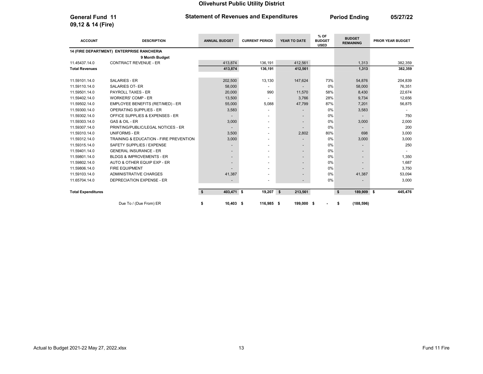09,12 & 14 (Fire)

### General Fund 11 **Period Ending 11** Statement of Revenues and Expenditures **Period Ending 15/27/22**

ACCOUNT DESCRIPTION ANNUAL BUDGET CURRENT PERIOD YEAR TO DATE % OF BUDGET USED **BUDGET<br>REMAINING** PRIOR YEAR BUDGET 14 (FIRE DEPARTMENT) ENTERPRISE RANCHERIA 9 Month Budget 11.45437.14.0 CONTRACT REVENUE - ER 413,874 413,874 412,561 412,561 1,313 382,359 Total Revenues 413,874 136,191 412,561 1,313 382,359 11.59101.14.0 SALARIES - ER 202,500 13,130 147,624 73% 54,876 204,839 11.59110.14.0 SALARIES OT- ER 58,000 - - 0% 58,000 76,351 11.59501.14.0 PAYROLL TAXES - ER 20,000 990 11,570 58% 8,430 22,674 11.59402.14.0 WORKERS' COMP - ER 12.656 13,500 - 3,766 28% 9,734 12,656 28% 9,734 11.59502.14.0 EMPLOYEE BENEFITS (RET/MED) - ER 55,000 5,088 47,799 87% 7,201 56,875 11.59300.14.0 OPERATING SUPPLIES - ER 3,583 - - 0% 3,583 - - 0% 3,583 - - 0% 3,583 11.59302.14.0 OFFICE SUPPLIES & EXPENSES - ER - - - 0% - 750 11.59303.14.0 GAS & OIL - ER 3,000 - - 0% 3,000 2,000 11.59307.14.0 PRINTING/PUBLIC/LEGAL NOTICES - ER - - - 0% - 200 11.59310.14.0 UNIFORMS - ER 3,500 - 2,802 80% 698 3,000 11.59312.14.0 TRAINING & EDUCATION - FIRE PREVENTION 3,000 3,000 - 0% 3,000 3,000 3,000 3,000 11.59315.14.0 SAFETY SUPPLIES / EXPENSE - - - 0% - 250 11.59401.14.0 GENERAL INSURANCE - ER - - - 0% - - 11.59801.14.0 BLDGS & IMPROVEMENTS - ER - - - 0% - 1,350 11.59802.14.0 AUTO & OTHER EQUIP EXP - ER ALL THE SERIES AND RELEASED AT A SERIES AND RELEASED AT A SERIES AND 11.59806.14.0 FIRE EQUIPMENT - - - 0% - 3,750 11.59103.14.0 ADMINISTRATIVE CHARGES 41,387 41,387 4 + 0% 41,387 53,094 11.65704.14.0 DEPRECIATION EXPENSE - ER - - - 0% - 3,000 Total Expenditures 403,471 \$ \$ 19,207 \$ 189,909 213,561 \$ \$ 445,476

Due To / (Due From) ER **\$** 10,403 \$ 116,985 \$ 199,000 \$ - \$ (188,596)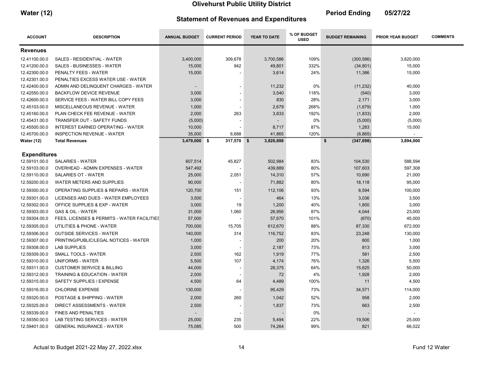٠

| <b>Water (12)</b> | <b>Statement of Revenues and Expenditures</b> | <b>Period Ending</b> | 05/27/22 |
|-------------------|-----------------------------------------------|----------------------|----------|
|                   |                                               |                      |          |

 $\sim$ 

| <b>ACCOUNT</b>      | <b>DESCRIPTION</b>                          | <b>ANNUAL BUDGET</b> | <b>CURRENT PERIOD</b> | YEAR TO DATE | % OF BUDGET<br><b>USED</b> | <b>BUDGET REMAINING</b> | <b>PRIOR YEAR BUDGET</b> | <b>COMMENTS</b> |
|---------------------|---------------------------------------------|----------------------|-----------------------|--------------|----------------------------|-------------------------|--------------------------|-----------------|
| <b>Revenues</b>     |                                             |                      |                       |              |                            |                         |                          |                 |
| 12.41100.00.0       | SALES - RESIDENTIAL - WATER                 | 3,400,000            | 309,678               | 3,700,586    | 109%                       | (300, 586)              | 3,820,000                |                 |
| 12.41200.00.0       | SALES - BUSINESSES - WATER                  | 15,000               | 942                   | 49,801       | 332%                       | (34, 801)               | 15,000                   |                 |
| 12.42300.00.0       | PENALTY FEES - WATER                        | 15,000               |                       | 3,614        | 24%                        | 11,386                  | 15,000                   |                 |
| 12.42301.00.0       | PENALTIES EXCESS WATER USE - WATER          |                      |                       |              |                            |                         |                          |                 |
| 12.42400.00.0       | ADMIN AND DELINQUENT CHARGES - WATER        |                      |                       | 11,232       | 0%                         | (11, 232)               | 40,000                   |                 |
| 12.42550.00.0       | <b>BACKFLOW DEVICE REVENUE</b>              | 3,000                |                       | 3,540        | 118%                       | (540)                   | 3,000                    |                 |
| 12.42600.00.0       | SERVICE FEES - WATER BILL COPY FEES         | 3,000                |                       | 830          | 28%                        | 2,171                   | 3,000                    |                 |
| 12.45103.00.0       | MISCELLANEOUS REVENUE - WATER               | 1,000                |                       | 2,679        | 268%                       | (1,679)                 | 1,000                    |                 |
| 12.45160.00.0       | PLAN CHECK FEE REVENUE - WATER              | 2,000                | 263                   | 3,833        | 192%                       | (1,833)                 | 2,000                    |                 |
| 12.45431.00.0       | <b>TRANSFER OUT - SAFETY FUNDS</b>          | (5,000)              |                       |              | 0%                         | (5,000)                 | (5,000)                  |                 |
| 12.45500.00.0       | INTEREST EARNED OPERATING - WATER           | 10,000               |                       | 8,717        | 87%                        | 1,283                   | 15,000                   |                 |
| 12.45700.00.0       | <b>INSPECTION REVENUE - WATER</b>           | 35,000               | 6,688                 | 41,865       | 120%                       | (6, 865)                | $\blacksquare$           |                 |
| <b>Water (12)</b>   | <b>Total Revenues</b>                       | $3,479,000$ \$       | 317,570 \$            | 3,826,698    |                            | \$<br>(347, 698)        | 3,894,000                |                 |
| <b>Expenditures</b> |                                             |                      |                       |              |                            |                         |                          |                 |
| 12.59101.00.0       | <b>SALARIES - WATER</b>                     | 607,514              | 45,827                | 502,984      | 83%                        | 104,530                 | 588,594                  |                 |
| 12.59103.00.0       | OVERHEAD - ADMIN EXPENSES - WATER           | 547,492              |                       | 439,889      | 80%                        | 107,603                 | 597,308                  |                 |
| 12.59110.00.0       | SALARIES OT - WATER                         | 25,000               | 2,051                 | 14,310       | 57%                        | 10,690                  | 21,000                   |                 |
| 12.59200.00.0       | WATER METERS AND SUPPLIES                   | 90,000               |                       | 71,882       | 80%                        | 18,118                  | 95,000                   |                 |
| 12.59300.00.0       | OPERATING SUPPLIES & REPAIRS - WATER        | 120,700              | 151                   | 112,106      | 93%                        | 8,594                   | 100,000                  |                 |
| 12.59301.00.0       | LICENSES AND DUES - WATER EMPLOYEES         | 3,500                |                       | 464          | 13%                        | 3,036                   | 3,500                    |                 |
| 12.59302.00.0       | OFFICE SUPPLIES & EXP - WATER               | 3,000                | 19                    | 1,200        | 40%                        | 1,800                   | 3,000                    |                 |
| 12.59303.00.0       | <b>GAS &amp; OIL - WATER</b>                | 31,000               | 1,060                 | 26,956       | 87%                        | 4,044                   | 23,000                   |                 |
| 12.59304.00.0       | FEES, LICENSES & PERMITS - WATER FACILITIES | 57,000               |                       | 57,670       | 101%                       | (670)                   | 45,000                   |                 |
| 12.59305.00.0       | UTILITIES & PHONE - WATER                   | 700,000              | 15,705                | 612,670      | 88%                        | 87,330                  | 672,000                  |                 |
| 12.59306.00.0       | <b>OUTSIDE SERVICES - WATER</b>             | 140,000              | 314                   | 116,752      | 83%                        | 23,248                  | 130,000                  |                 |
| 12.59307.00.0       | PRINTING/PUBLIC/LEGAL NOTICES - WATER       | 1,000                |                       | 200          | 20%                        | 800                     | 1,000                    |                 |
| 12.59308.00.0       | <b>LAB SUPPLIES</b>                         | 3,000                |                       | 2,187        | 73%                        | 813                     | 3,000                    |                 |
| 12.59309.00.0       | SMALL TOOLS - WATER                         | 2,500                | 162                   | 1,919        | 77%                        | 581                     | 2,500                    |                 |
| 12.59310.00.0       | UNIFORMS - WATER                            | 5,500                | 107                   | 4,174        | 76%                        | 1,326                   | 5,500                    |                 |
| 12.59311.00.0       | <b>CUSTOMER SERVICE &amp; BILLING</b>       | 44,000               |                       | 28,375       | 64%                        | 15,625                  | 50,000                   |                 |
| 12.59312.00.0       | TRAINING & EDUCATION - WATER                | 2,000                |                       | 72           | 4%                         | 1,928                   | 2,000                    |                 |
| 12.59315.00.0       | SAFETY SUPPLIES / EXPENSE                   | 4,500                | 64                    | 4,489        | 100%                       | 11                      | 4,500                    |                 |
| 12.59316.00.0       | <b>CHLORINE EXPENSE</b>                     | 130,000              |                       | 95,429       | 73%                        | 34,571                  | 114,000                  |                 |
| 12.59320.00.0       | POSTAGE & SHIPPING - WATER                  | 2,000                | 260                   | 1,042        | 52%                        | 958                     | 2,000                    |                 |
| 12.59325.00.0       | <b>DIRECT ASSESSMENTS - WATER</b>           | 2,500                |                       | 1,837        | 73%                        | 663                     | 2,500                    |                 |
| 12.59339.00.0       | <b>FINES AND PENALTIES</b>                  |                      |                       |              | 0%                         |                         |                          |                 |
| 12.59350.00.0       | LAB TESTING SERVICES - WATER                | 25,000               | 235                   | 5,494        | 22%                        | 19,506                  | 25,000                   |                 |
| 12.59401.00.0       | <b>GENERAL INSURANCE - WATER</b>            | 75,085               | 500                   | 74,264       | 99%                        | 821                     | 66,022                   |                 |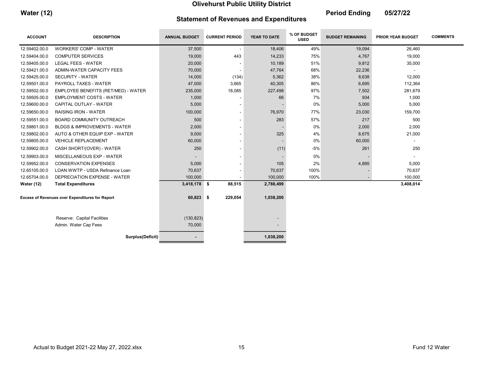٠

| <b>Water (12)</b> | <b>Statement of Revenues and Expenditures</b> | <b>Period Ending</b> | 05/27/22 |
|-------------------|-----------------------------------------------|----------------------|----------|
|                   |                                               |                      |          |

 $\sim$ 

| <b>ACCOUNT</b>                                         | <b>DESCRIPTION</b>                      | <b>ANNUAL BUDGET</b> | <b>CURRENT PERIOD</b>    | YEAR TO DATE | % OF BUDGET<br><b>USED</b> | <b>BUDGET REMAINING</b> | <b>PRIOR YEAR BUDGET</b> | <b>COMMENTS</b> |
|--------------------------------------------------------|-----------------------------------------|----------------------|--------------------------|--------------|----------------------------|-------------------------|--------------------------|-----------------|
| 12.59402.00.0                                          | <b>WORKERS' COMP - WATER</b>            | 37,500               | $\overline{\phantom{a}}$ | 18,406       | 49%                        | 19,094                  | 26,460                   |                 |
| 12.59404.00.0                                          | <b>COMPUTER SERVICES</b>                | 19,000               | 443                      | 14,233       | 75%                        | 4,767                   | 19,000                   |                 |
| 12.59405.00.0                                          | LEGAL FEES - WATER                      | 20,000               |                          | 10,189       | 51%                        | 9,812                   | 35,000                   |                 |
| 12.59421.00.0                                          | ADMIN-WATER CAPACITY FEES               | 70,000               |                          | 47,764       | 68%                        | 22,236                  |                          |                 |
| 12.59425.00.0                                          | <b>SECURITY - WATER</b>                 | 14,000               | (134)                    | 5,362        | 38%                        | 8,638                   | 12,000                   |                 |
| 12.59501.00.0                                          | <b>PAYROLL TAXES - WATER</b>            | 47,000               | 3,665                    | 40,305       | 86%                        | 6,695                   | 112,364                  |                 |
| 12.59502.00.0                                          | EMPLOYEE BENEFITS (RET/MED) - WATER     | 235,000              | 18,085                   | 227,498      | 97%                        | 7,502                   | 281,679                  |                 |
| 12.59505.00.0                                          | <b>EMPLOYMENT COSTS - WATER</b>         | 1,000                |                          | 66           | 7%                         | 934                     | 1,000                    |                 |
| 12.59600.00.0                                          | CAPITAL OUTLAY - WATER                  | 5,000                |                          |              | 0%                         | 5,000                   | 5,000                    |                 |
| 12.59650.00.0                                          | <b>RAISING IRON - WATER</b>             | 100,000              |                          | 76,970       | 77%                        | 23,030                  | 159,700                  |                 |
| 12.59551.00.0                                          | BOARD COMMUNITY OUTREACH                | 500                  |                          | 283          | 57%                        | 217                     | 500                      |                 |
| 12.59801.00.0                                          | <b>BLDGS &amp; IMPROVEMENTS - WATER</b> | 2,000                |                          |              | 0%                         | 2,000                   | 2,000                    |                 |
| 12.59802.00.0                                          | AUTO & OTHER EQUIP EXP - WATER          | 9,000                |                          | 325          | 4%                         | 8,675                   | 21,000                   |                 |
| 12.59805.00.0                                          | <b>VEHICLE REPLACEMENT</b>              | 60,000               |                          |              | 0%                         | 60,000                  |                          |                 |
| 12.59902.00.0                                          | CASH SHORT/(OVER) - WATER               | 250                  |                          | (11)         | $-5%$                      | 261                     | 250                      |                 |
| 12.59903.00.0                                          | MISCELLANEOUS EXP - WATER               |                      |                          |              | 0%                         |                         |                          |                 |
| 12.59952.00.0                                          | <b>CONSERVATION EXPENSES</b>            | 5,000                |                          | 105          | 2%                         | 4,895                   | 5,000                    |                 |
| 12.65105.00.0                                          | LOAN WWTP - USDA Refinance Loan         | 70,637               |                          | 70,637       | 100%                       |                         | 70,637                   |                 |
| 12.65704.00.0                                          | DEPRECIATION EXPENSE - WATER            | 100,000              |                          | 100,000      | 100%                       |                         | 100,000                  |                 |
| <b>Water (12)</b>                                      | <b>Total Expenditures</b>               | 3,418,178 \$         | 88,515                   | 2,788,499    |                            |                         | 3,408,014                |                 |
| <b>Excess of Revenues over Expenditures for Report</b> |                                         | $60,823$ \$          | 229,054                  | 1,038,200    |                            |                         |                          |                 |
|                                                        | Reserve: Capital Facilities             | (130, 823)           |                          |              |                            |                         |                          |                 |
|                                                        | Admin. Water Cap Fees                   | 70,000               |                          |              |                            |                         |                          |                 |
|                                                        | Surplus(Deficit)                        |                      |                          | 1,038,200    |                            |                         |                          |                 |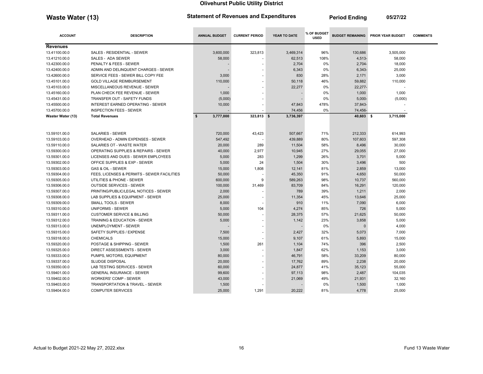Waste Water (13) Statement of Revenues and Expenditures Period Ending 05/27/22

\_\_\_\_\_\_\_

\_\_\_

**College** 

and the control of the control of

| <b>ACCOUNT</b>    | <b>DESCRIPTION</b>                          | <b>ANNUAL BUDGET</b>      | <b>CURRENT PERIOD</b> | YEAR TO DATE | % OF BUDGET<br><b>USED</b> |           | <b>BUDGET REMAINING PRIOR YEAR BUDGET</b> | <b>COMMENTS</b> |
|-------------------|---------------------------------------------|---------------------------|-----------------------|--------------|----------------------------|-----------|-------------------------------------------|-----------------|
| <b>Revenues</b>   |                                             |                           |                       |              |                            |           |                                           |                 |
| 13.41100.00.0     | SALES - RESIDENTIAL - SEWER                 | 3,600,000                 | 323,813               | 3,469,314    | 96%                        | 130,686   | 3,505,000                                 |                 |
| 13.41210.00.0     | SALES - ADA SEWER                           | 58,000                    |                       | 62,513       | 108%                       | $4,513-$  | 58,000                                    |                 |
| 13.42300.00.0     | PENALTY & FEES - SEWER                      |                           |                       | 2,704        | 0%                         | $2,704-$  | 18,000                                    |                 |
| 13.42400.00.0     | ADMIN AND DELINQUENT CHARGES - SEWER        |                           |                       | 6,343        | 0%                         | 6,343-    | 25,000                                    |                 |
| 13.42600.00.0     | SERVICE FEES - SEWER BILL COPY FEE          | 3,000                     |                       | 830          | 28%                        | 2,171     | 3,000                                     |                 |
| 13.45101.00.0     | <b>GOLD VILLAGE REIMBURSEMENT</b>           | 110,000                   |                       | 50,118       | 46%                        | 59,882    | 110,000                                   |                 |
| 13.45103.00.0     | MISCELLANEOUS REVENUE - SEWER               |                           |                       | 22,277       | 0%                         | 22,277-   |                                           |                 |
| 13.45160.00.0     | PLAN CHECK FEE REVENUE - SEWER              | 1,000                     |                       |              | 0%                         | 1,000     | 1,000                                     |                 |
| 13.45431.00.0     | <b>TRANSFER OUT - SAFETY FUNDS</b>          | (5,000)                   |                       |              | 0%                         | $5.000 -$ | (5,000)                                   |                 |
| 13.45500.00.0     | <b>INTEREST EARNED OPERATING - SEWER</b>    | 10,000                    |                       | 47,843       | 478%                       | 37,843-   |                                           |                 |
| 13.45700.00.0     | <b>INSPECTION FEES - SEWER</b>              |                           |                       | 74,456       | 0%                         | 74,456-   |                                           |                 |
| Waster Water (13) | <b>Total Revenues</b>                       | $\mathbf{s}$<br>3,777,000 | 323,813 \$            | 3,736,397    |                            | 40,603 \$ | 3,715,000                                 |                 |
|                   |                                             |                           |                       |              |                            |           |                                           |                 |
| 13.59101.00.0     | <b>SALARIES - SEWER</b>                     | 720,000                   | 43,423                | 507,667      | 71%                        | 212,333   | 614,993                                   |                 |
| 13.59103.00.0     | OVERHEAD - ADMIN EXPENSES - SEWER           | 547,492                   |                       | 439,889      | 80%                        | 107,603   | 597,308                                   |                 |
| 13.59110.00.0     | SALARIES OT - WASTE WATER                   | 20,000                    | 289                   | 11,504       | 58%                        | 8,496     | 30,000                                    |                 |
| 13.59300.00.0     | OPERATING SUPPLIES & REPAIRS - SEWER        | 40,000                    | 2,977                 | 10.945       | 27%                        | 29,055    | 27,000                                    |                 |
| 13.59301.00.0     | LICENSES AND DUES - SEWER EMPLOYEES         | 5,000                     | 283                   | 1,299        | 26%                        | 3,701     | 5,000                                     |                 |
| 13.59302.00.0     | OFFICE SUPPLIES & EXP - SEWER               | 5,000                     | 24                    | 1,504        | 30%                        | 3,496     | 500                                       |                 |
| 13.59303.00.0     | <b>GAS &amp; OIL - SEWER</b>                | 15,000                    | 1,808                 | 12,141       | 81%                        | 2,859     | 13,000                                    |                 |
| 13.59304.00.0     | FEES, LICENSES & PERMITS - SEWER FACILITIES | 50,000                    |                       | 45,350       | 91%                        | 4,650     | 50,000                                    |                 |
| 13.59305.00.0     | UTILITIES & PHONE - SEWER                   | 600,000                   | 9                     | 589,263      | 98%                        | 10,737    | 560,000                                   |                 |
| 13.59306.00.0     | <b>OUTSIDE SERVICES - SEWER</b>             | 100,000                   | 31,469                | 83,709       | 84%                        | 16,291    | 120,000                                   |                 |
| 13.59307.00.0     | PRINTING/PUBLIC/LEGAL NOTICES - SEWER       | 2,000                     |                       | 789          | 39%                        | 1,211     | 2,000                                     |                 |
| 13.59308.00.0     | LAB SUPPLIES & EQUIPMENT - SEWER            | 25,000                    |                       | 11,354       | 45%                        | 13,646    | 25,000                                    |                 |
| 13.59309.00.0     | <b>SMALL TOOLS - SEWER</b>                  | 8,000                     |                       | 910          | 11%                        | 7,090     | 6,000                                     |                 |
| 13.59310.00.0     | UNIFORMS - SEWER                            | 5,000                     | 104                   | 4,274        | 85%                        | 726       | 5,000                                     |                 |
| 13.59311.00.0     | <b>CUSTOMER SERVICE &amp; BILLING</b>       | 50,000                    |                       | 28,375       | 57%                        | 21,625    | 50,000                                    |                 |
| 13.59312.00.0     | TRAINING & EDUCATION - SEWER                | 5,000                     |                       | 1,142        | 23%                        | 3,858     | 5,000                                     |                 |
| 13.59313.00.0     | UNEMPLOYMENT - SEWER                        |                           |                       |              | 0%                         | $\Omega$  | 4,000                                     |                 |
| 13.59315.00.0     | SAFETY SUPPLIES / EXPENSE                   | 7,500                     |                       | 2,427        | 32%                        | 5,073     | 7,000                                     |                 |
| 13.59318.00.0     | <b>CHEMICALS</b>                            | 15,000                    |                       | 9,107        | 61%                        | 5,893     | 15,000                                    |                 |
| 13.59320.00.0     | POSTAGE & SHIPPING - SEWER                  | 1,500                     | 261                   | 1,104        | 74%                        | 396       | 2,500                                     |                 |
| 13.59325.00.0     | <b>DIRECT ASSESSMENTS - SEWER</b>           | 3,000                     |                       | 1,847        | 62%                        | 1,153     | 3,000                                     |                 |
| 13.59333.00.0     | PUMPS, MOTORS, EQUIPMENT                    | 80,000                    |                       | 46,791       | 58%                        | 33,209    | 80,000                                    |                 |
| 13.59337.00.0     | <b>SLUDGE DISPOSAL</b>                      | 20,000                    |                       | 17.762       | 89%                        | 2.238     | 20.000                                    |                 |
| 13.59350.00.0     | LAB TESTING SERVICES - SEWER                | 60,000                    |                       | 24,877       | 41%                        | 35,123    | 55,000                                    |                 |
| 13.59401.00.0     | <b>GENERAL INSURANCE - SEWER</b>            | 99,600                    |                       | 97,113       | 98%                        | 2,487     | 104,035                                   |                 |
| 13.59402.00.0     | <b>WORKERS' COMP - SEWER</b>                | 43,000                    |                       | 21,069       | 49%                        | 21,931    | 32,160                                    |                 |
| 13.59403.00.0     | TRANSPORTATION & TRAVEL - SEWER             | 1,500                     |                       |              | 0%                         | 1,500     | 1,000                                     |                 |
| 13.59404.00.0     | <b>COMPUTER SERVICES</b>                    | 25,000                    | 1,291                 | 20,222       | 81%                        | 4,778     | 25,000                                    |                 |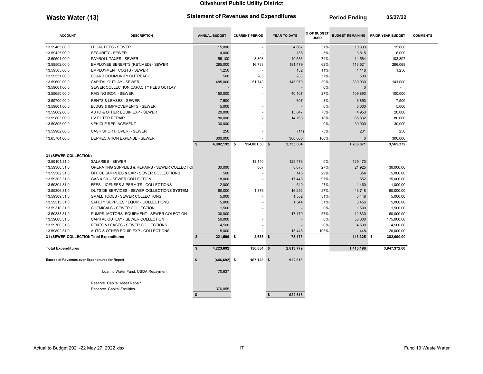Waste Water (13) Statement of Revenues and Expenditures Period Ending 05/27/22

ACCOUNT DESCRIPTION ANNUAL BUDGET CURRENT PERIOD YEAR TO DATE % OF BUDGET % OF BUDGET BUDGET REMAINING PRIOR YEAR BUDGET COMMENTS 13.59405.00.0 LEGAL FEES - SEWER 15,000 - 4,667 31% 10,333 15,000 13.59425.00.0 SECURITY - SEWER 4,000 - 185 5% 3,815 6,000 13.59501.00.0 PAYROLL TAXES - SEWER 55,100 3,303 40,536 74% 14,564 103,807 13.59502.00.0 EMPLOYEE BENEFITS (RET/MED) - SEWER 295,000 16,733 181,479 62% 113,521 296,069 13.59505.00.0 EMPLOYMENT COSTS - SEWER 1.250 1.250 1.250 1.32 1.250 1.118 1,250 13.59551.00.0 BOARD COMMUNITY OUTREACH 500 283 283 57% 500 13.59600.00.0 CAPITAL OUTLAY - SEWER 485,000 485,000 51,743 445,970 30% 339,030 441,000 13.59601.00.0 SEWER COLLECTION CAPACITY FEES OUTLAY And the state of the state of the state of the state of the state of the state of the state of the state of the state of the state of the state of the state of the state 13.59650.00.0 RAISING IRON - SEWER 150,000 - 40,107 27% 109,893 100,000 13.59700.00.0 RENTS & LEASES - SEWER 7,500 607 8% 6,893 7,500 13.59801.00.0 BLDGS & IMPROVEMENTS - SEWER 5,000 5,000 5,000 5,000 5,000 5,000 5,000 5,000 5,000 5,000 5,000 5,000 13.59802.00.0 AUTO & OTHER EQUIP EXP - SEWER 20,000 20,000 - 15,047 75% 4,953 20,000 13.59803.00.0 UV FILTER REPAIR 80,000 - 14,168 18% 65,832 80,000 13.59805.00.0 VEHICLE REPLACEMENT 30,000 - - 0% 30,000 30,000 13.59902.00.0 CASH SHORT/(OVER) - SEWER 250 - (11) -5% 261 250 13.65704.00.0 DEPRECIATION EXPENSE - SEWER 300,000 - 300,000 100% 0 300,000 \$ 4,002,192 \$ 154,001.38 \$ 2,735,604 \$ 1,266,871 \$ 1,565,372 31 (SEWER COLLECTION) 13.59101.31.0 SALARIES - SEWER - 13,140 129,473 0% 129,473 129,473 129,473 129,473 129,473 129,473- - 13,140 129,473 13.59300.31.0 OPERATING SUPPLIES & REPAIRS - SEWER COLLECTION 30,000 807 8.075 27% 21.925 30,000.00 13.59302.31.0 OFFICE SUPPLIES & EXP - SEWER COLLECTIONS 500 - 146 29% 354 5,000.00 13.59303.31.0 GAS & OIL - SEWER COLLECTION 18,000 18,000 17,448 97% 552 15,000.00 13.59304.31.0 FEES, LICENSES & PERMITS - COLLECTIONS 2.000 - 540 27% 1,460 1,000.00 13.59306.31.0 OUTSIDE SERVICES - SEWER COLLECTIONS SYSTEM 60,000 1,876 16,252 27% 43,748 60,000.00 13.59309.31.0 SMALL TOOLS - SEWER COLLECTIONS 6,000 - 1,552 31% 3,448 5,000.00 13.59315.31.0 SAFETY SUPPLIES / EQUIP - COLLECTIONS 5,000 - 1,544 31% 3,456 5,000.00 13.59318.31.0 CHEMICALS - SEWER COLLECTION 1,500 - - 0% 1,500 1,500.00 13.59333.31.0 PUMPS, MOTORS, EQUIPMENT - SEWER COLECTION 30,000 - 17,170 57% 12,830 60,000.00 13.59600.31.0 CAPITAL OUTLAY - SEWER COLLECTION 50,000 - - 0% 50,000 175,000.00 13.59700.31.0 RENTS & LEASES - SEWER COLLECTIONS 4,500 - - 0% 4,500 4,500.00 13.59802.31.0 AUTO & OTHER EQUIP EXP - COLLECTIONS 15,000 - 15,448 103% 448- 20,000.00 31 (SEWER COLLECTION Total Expenditures 23 221,500 \$ 221,500 \$ 2.683 2.683 382,000,00 \$ 78,175 2000,00 \$ 143,325 \$ 382,000.00 Total Expenditures 4,223,692 \$ 156,684 2,813,779 \$ 1,410,196 3,947,372.00 Excess of Revenues over Expenditures for Report 1992, 167,128 (446,692) (446,692) (446,692) (446,692) (446,692) Loan to Water Fund: USDA Repayment 70,637 Reserve Capital Asset Repair Reserve: Capital Facilities 376,055  $\frac{1}{2}$   $\frac{1}{2}$   $\frac{1}{2}$   $\frac{1}{2}$   $\frac{1}{2}$   $\frac{1}{2}$   $\frac{1}{2}$   $\frac{1}{2}$   $\frac{1}{2}$   $\frac{1}{2}$   $\frac{1}{2}$   $\frac{1}{2}$   $\frac{1}{2}$   $\frac{1}{2}$   $\frac{1}{2}$   $\frac{1}{2}$   $\frac{1}{2}$   $\frac{1}{2}$   $\frac{1}{2}$   $\frac{1}{2}$   $\frac{1}{2}$   $\frac{1}{2}$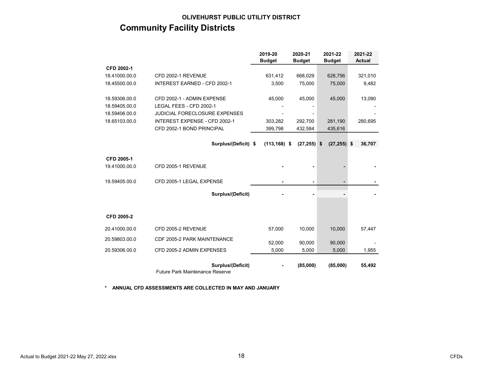# OLIVEHURST PUBLIC UTILITY DISTRICT Community Facility Districts

|               |                                                             | 2019-20         | 2020-21        | 2021-22        | 2021-22       |
|---------------|-------------------------------------------------------------|-----------------|----------------|----------------|---------------|
|               |                                                             | <b>Budget</b>   | <b>Budget</b>  | <b>Budget</b>  | <b>Actual</b> |
| CFD 2002-1    |                                                             |                 |                |                |               |
| 18.41000.00.0 | CFD 2002-1 REVENUE                                          | 631,412         | 668,029        | 628,756        | 321,010       |
| 18.45500.00.0 | <b>INTEREST EARNED - CFD 2002-1</b>                         | 3,500           | 75,000         | 75,000         | 9,482         |
| 18.59306.00.0 | CFD 2002-1 - ADMIN EXPENSE                                  | 45,000          | 45,000         | 45,000         | 13,090        |
| 18.59405.00.0 | LEGAL FEES - CFD 2002-1                                     |                 |                |                |               |
| 18.59406.00.0 | <b>JUDICIAL FORECLOSURE EXPENSES</b>                        |                 |                |                |               |
| 18.65103.00.0 | INTEREST EXPENSE - CFD 2002-1                               | 303,282         | 292,700        | 281,190        | 280,695       |
|               | CFD 2002-1 BOND PRINCIPAL                                   | 399,798         | 432,584        | 435,616        |               |
|               |                                                             |                 |                |                |               |
|               | Surplus/(Deficit) \$                                        | $(113, 168)$ \$ | $(27, 255)$ \$ | $(27, 255)$ \$ | 36,707        |
| CFD 2005-1    |                                                             |                 |                |                |               |
| 19.41000.00.0 | CFD 2005-1 REVENUE                                          |                 |                |                |               |
| 19.59405.00.0 | CFD 2005-1 LEGAL EXPENSE                                    |                 |                |                |               |
|               | Surplus/(Deficit)                                           |                 |                |                |               |
|               |                                                             |                 |                |                |               |
| CFD 2005-2    |                                                             |                 |                |                |               |
| 20.41000.00.0 | CFD 2005-2 REVENUE                                          | 57,000          | 10,000         | 10,000         | 57,447        |
| 20.59803.00.0 | CDF 2005-2 PARK MAINTENANCE                                 | 52,000          | 90,000         | 90,000         |               |
| 20.59306.00.0 | CFD 2005-2 ADMIN EXPENSES                                   | 5,000           | 5,000          | 5,000          | 1,955         |
|               | Surplus/(Deficit)<br><b>Future Park Maintenance Reserve</b> |                 | (85,000)       | (85,000)       | 55,492        |

\* ANNUAL CFD ASSESSMENTS ARE COLLECTED IN MAY AND JANUARY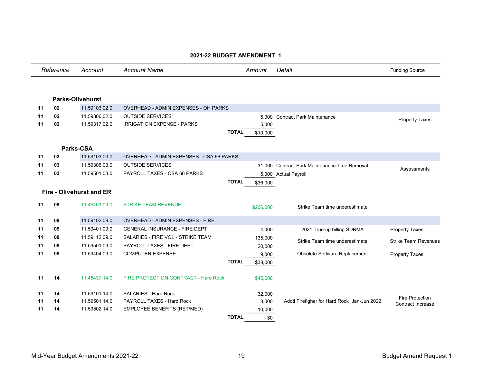|    | Reference | Account                         | <b>Account Name</b>                         |              | Amount    | Detail                                        | <b>Funding Source</b>                              |
|----|-----------|---------------------------------|---------------------------------------------|--------------|-----------|-----------------------------------------------|----------------------------------------------------|
|    |           | <b>Parks-Olivehurst</b>         |                                             |              |           |                                               |                                                    |
|    |           |                                 |                                             |              |           |                                               |                                                    |
| 11 | 02        | 11.59103.02.0                   | <b>OVERHEAD - ADMIN EXPENSES - OH PARKS</b> |              |           |                                               |                                                    |
| 11 | 02        | 11.59306.02.0                   | <b>OUTSIDE SERVICES</b>                     |              |           | 5,000 Contract Park Maintenance               | <b>Property Taxes</b>                              |
| 11 | 02        | 11.59317.02.0                   | <b>IRRIGATION EXPENSE - PARKS</b>           |              | 5,000     |                                               |                                                    |
|    |           |                                 |                                             | <b>TOTAL</b> | \$10,000  |                                               |                                                    |
|    |           | <b>Parks-CSA</b>                |                                             |              |           |                                               |                                                    |
| 11 | 03        | 11.59103.03.0                   | OVERHEAD - ADMIN EXPENSES - CSA 66 PARKS    |              |           |                                               |                                                    |
| 11 | 03        | 11.59306.03.0                   | <b>OUTSIDE SERVICES</b>                     |              |           | 31,000 Contract Park Maintenance-Tree Removal |                                                    |
| 11 | 03        | 11.59501.03.0                   | PAYROLL TAXES - CSA 66 PARKS                |              |           | 5,000 Actual Payroll                          | Assessments                                        |
|    |           |                                 |                                             | <b>TOTAL</b> | \$36,000  |                                               |                                                    |
|    |           | <b>Fire - Olivehurst and ER</b> |                                             |              |           |                                               |                                                    |
|    |           |                                 |                                             |              |           |                                               |                                                    |
| 11 | 09        | 11.45403.09.0                   | <b>STRIKE TEAM REVENUE</b>                  |              | \$206,000 | Strike Team time underestimate                |                                                    |
|    |           |                                 |                                             |              |           |                                               |                                                    |
| 11 | 09        | 11.59102.09.0                   | OVERHEAD - ADMIN EXPENSES - FIRE            |              |           |                                               |                                                    |
| 11 | 09        | 11.59401.09.0                   | <b>GENERAL INSURANCE - FIRE DEPT</b>        |              | 4,000     | 2021 True-up billing SDRMA                    | <b>Property Taxes</b>                              |
| 11 | 09        | 11.59112.09.0                   | SALARIES - FIRE VOL - STRIKE TEAM           |              | 135,000   | Strike Team time underestimate                | <b>Strike Team Revenues</b>                        |
| 11 | 09        | 11.59501.09.0                   | PAYROLL TAXES - FIRE DEPT                   |              | 20,000    |                                               |                                                    |
| 11 | 09        | 11.59404.09.0                   | <b>COMPUTER EXPENSE</b>                     |              | 9,000     | Obsolete Software Replacement                 | <b>Property Taxes</b>                              |
|    |           |                                 |                                             | <b>TOTAL</b> | \$38,000  |                                               |                                                    |
| 11 | 14        | 11.45437.14.0                   | FIRE PROTECTION CONTRACT - Hard Rock        |              | \$45,000  |                                               |                                                    |
| 11 | 14        | 11.59101.14.0                   | SALARIES - Hard Rock                        |              | 32,000    |                                               |                                                    |
| 11 | 14        | 11.59501.14.0                   | PAYROLL TAXES - Hard Rock                   |              | 3,000     | Addtl Firefigher for Hard Rock Jan-Jun 2022   | <b>Fire Protection</b><br><b>Contract Increase</b> |
| 11 | 14        | 11.59502.14.0                   | EMPLOYEE BENEFITS (RET/MED)                 |              | 10,000    |                                               |                                                    |
|    |           |                                 |                                             | <b>TOTAL</b> | \$0       |                                               |                                                    |

# 2021-22 BUDGET AMENDMENT 1